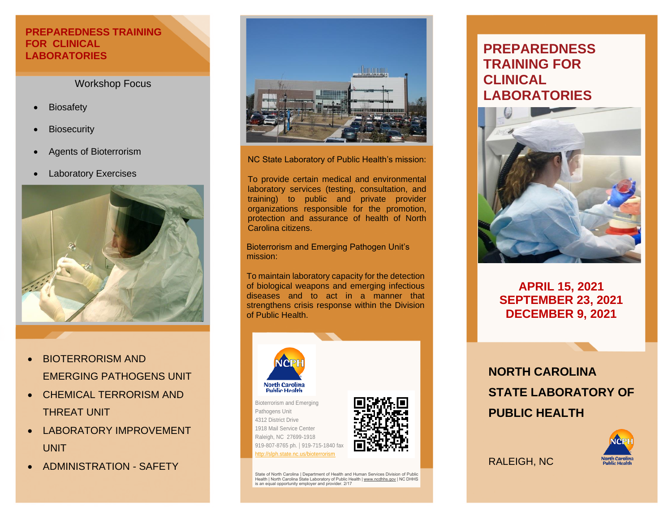#### **PREPAREDNESS TRAINING FOR CLINICAL LABORATORIES**

#### Workshop Focus

- **Biosafety**
- **Biosecurity**
- Agents of Bioterrorism
- **Laboratory Exercises**



- BIOTERRORISM AND EMERGING PATHOGENS UNIT
- CHEMICAL TERRORISM AND THREAT UNIT
- LABORATORY IMPROVEMENT UNIT
- ADMINISTRATION SAFETY



NC State Laboratory of Public Health's mission:

training) to public and private provider To provide certain medical and environmental laboratory services (testing, consultation, and organizations responsible for the promotion, protection and assurance of health of North Carolina citizens.

Bioterrorism and Emerging Pathogen Unit's mission:

To maintain laboratory capacity for the detection of biological weapons and emerging infectious diseases and to act in a manner that strengthens crisis response within the Division of Public Health.



ttn://slph.state.nc.us/bioterrorism



State of North Carolina | Department of Health and Human Services Division of Public Health | North Carolina State Laboratory of Public Health <u>| [www.ncdhhs.gov](http://www.ncdhhs.gov/)</u> | NC DHHS<br>is an equal opportunity employer and provider. 2/17

# **PREPAREDNESS TRAINING FOR CLINICAL LABORATORIES**



# **APRIL 15, 2021 SEPTEMBER 23, 2021 DECEMBER 9, 2021**

**NORTH CAROLINA STATE LABORATORY OF PUBLIC HEALTH**



RALEIGH, NC